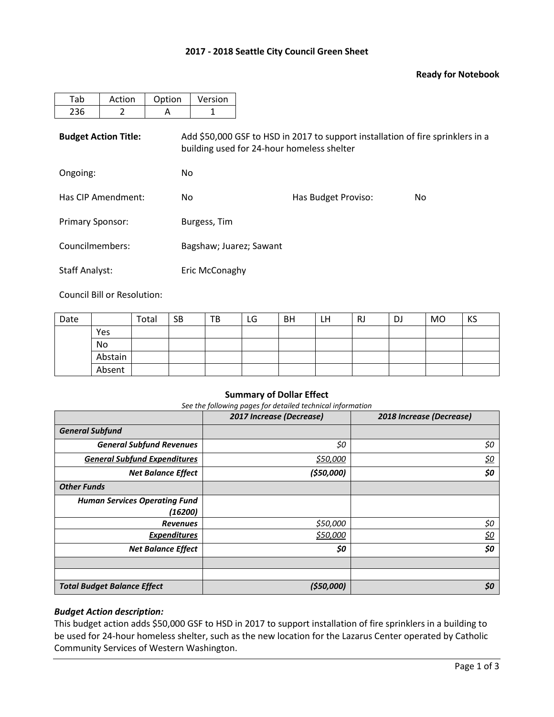## **2017 - 2018 Seattle City Council Green Sheet**

## **Ready for Notebook**

| Tab                         | Action | Option | Version                                                                                                                       |                            |  |  |  |  |  |  |
|-----------------------------|--------|--------|-------------------------------------------------------------------------------------------------------------------------------|----------------------------|--|--|--|--|--|--|
| 236                         | 2      | A      |                                                                                                                               |                            |  |  |  |  |  |  |
| <b>Budget Action Title:</b> |        |        | Add \$50,000 GSF to HSD in 2017 to support installation of fire sprinklers in a<br>building used for 24-hour homeless shelter |                            |  |  |  |  |  |  |
| Ongoing:                    |        | No.    |                                                                                                                               |                            |  |  |  |  |  |  |
| Has CIP Amendment:          |        | No.    |                                                                                                                               | Has Budget Proviso:<br>No. |  |  |  |  |  |  |
| <b>Primary Sponsor:</b>     |        |        | Burgess, Tim                                                                                                                  |                            |  |  |  |  |  |  |
| Councilmembers:             |        |        | Bagshaw; Juarez; Sawant                                                                                                       |                            |  |  |  |  |  |  |
| <b>Staff Analyst:</b>       |        |        | Eric McConaghy                                                                                                                |                            |  |  |  |  |  |  |

Council Bill or Resolution:

| Date |         | Total | <b>SB</b> | TB | LG | <b>BH</b> | LH | RJ | DJ | <b>MO</b> | KS |
|------|---------|-------|-----------|----|----|-----------|----|----|----|-----------|----|
|      | Yes     |       |           |    |    |           |    |    |    |           |    |
|      | No      |       |           |    |    |           |    |    |    |           |    |
|      | Abstain |       |           |    |    |           |    |    |    |           |    |
|      | Absent  |       |           |    |    |           |    |    |    |           |    |

#### **Summary of Dollar Effect**

*See the following pages for detailed technical information*

|                                      | 2017 Increase (Decrease) | 2018 Increase (Decrease) |
|--------------------------------------|--------------------------|--------------------------|
| <b>General Subfund</b>               |                          |                          |
| <b>General Subfund Revenues</b>      | \$0                      | \$0                      |
| <b>General Subfund Expenditures</b>  | \$50,000                 | <u>\$0</u>               |
| <b>Net Balance Effect</b>            | (550,000)                | \$0                      |
| <b>Other Funds</b>                   |                          |                          |
| <b>Human Services Operating Fund</b> |                          |                          |
| (16200)                              |                          |                          |
| <b>Revenues</b>                      | \$50,000                 | \$0                      |
| <b>Expenditures</b>                  | \$50,000                 | <u>\$0</u>               |
| <b>Net Balance Effect</b>            | \$0                      | \$0                      |
|                                      |                          |                          |
|                                      |                          |                          |
| <b>Total Budget Balance Effect</b>   | (550,000)                | \$0                      |

## *Budget Action description:*

This budget action adds \$50,000 GSF to HSD in 2017 to support installation of fire sprinklers in a building to be used for 24-hour homeless shelter, such as the new location for the Lazarus Center operated by Catholic Community Services of Western Washington.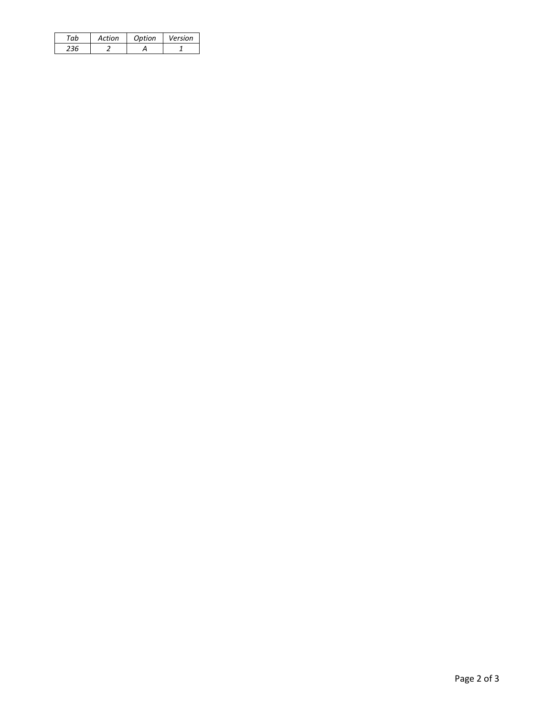| 'nh | Action | Option | Version |
|-----|--------|--------|---------|
|     |        |        |         |